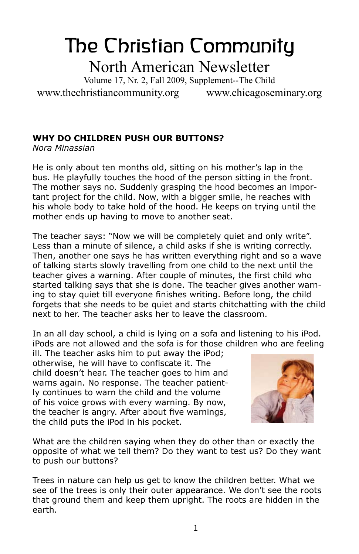# The Christian Community North American Newsletter

Volume 17, Nr. 2, Fall 2009, Supplement--The Child

www.thechristiancommunity.org www.chicagoseminary.org

## **Why Do Children Push Our Buttons?**

*Nora Minassian*

He is only about ten months old, sitting on his mother's lap in the bus. He playfully touches the hood of the person sitting in the front. The mother says no. Suddenly grasping the hood becomes an important project for the child. Now, with a bigger smile, he reaches with his whole body to take hold of the hood. He keeps on trying until the mother ends up having to move to another seat.

The teacher says: "Now we will be completely quiet and only write". Less than a minute of silence, a child asks if she is writing correctly. Then, another one says he has written everything right and so a wave of talking starts slowly travelling from one child to the next until the teacher gives a warning. After couple of minutes, the first child who started talking says that she is done. The teacher gives another warning to stay quiet till everyone finishes writing. Before long, the child forgets that she needs to be quiet and starts chitchatting with the child next to her. The teacher asks her to leave the classroom.

In an all day school, a child is lying on a sofa and listening to his iPod. iPods are not allowed and the sofa is for those children who are feeling

ill. The teacher asks him to put away the iPod; otherwise, he will have to confiscate it. The child doesn't hear. The teacher goes to him and warns again. No response. The teacher patiently continues to warn the child and the volume of his voice grows with every warning. By now, the teacher is angry. After about five warnings, the child puts the iPod in his pocket.



What are the children saying when they do other than or exactly the opposite of what we tell them? Do they want to test us? Do they want to push our buttons?

Trees in nature can help us get to know the children better. What we see of the trees is only their outer appearance. We don't see the roots that ground them and keep them upright. The roots are hidden in the earth.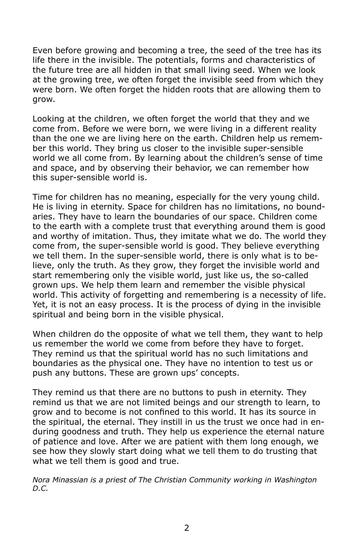Even before growing and becoming a tree, the seed of the tree has its life there in the invisible. The potentials, forms and characteristics of the future tree are all hidden in that small living seed. When we look at the growing tree, we often forget the invisible seed from which they were born. We often forget the hidden roots that are allowing them to grow.

Looking at the children, we often forget the world that they and we come from. Before we were born, we were living in a different reality than the one we are living here on the earth. Children help us remember this world. They bring us closer to the invisible super-sensible world we all come from. By learning about the children's sense of time and space, and by observing their behavior, we can remember how this super-sensible world is.

Time for children has no meaning, especially for the very young child. He is living in eternity. Space for children has no limitations, no boundaries. They have to learn the boundaries of our space. Children come to the earth with a complete trust that everything around them is good and worthy of imitation. Thus, they imitate what we do. The world they come from, the super-sensible world is good. They believe everything we tell them. In the super-sensible world, there is only what is to believe, only the truth. As they grow, they forget the invisible world and start remembering only the visible world, just like us, the so-called grown ups. We help them learn and remember the visible physical world. This activity of forgetting and remembering is a necessity of life. Yet, it is not an easy process. It is the process of dying in the invisible spiritual and being born in the visible physical.

When children do the opposite of what we tell them, they want to help us remember the world we come from before they have to forget. They remind us that the spiritual world has no such limitations and boundaries as the physical one. They have no intention to test us or push any buttons. These are grown ups' concepts.

They remind us that there are no buttons to push in eternity. They remind us that we are not limited beings and our strength to learn, to grow and to become is not confined to this world. It has its source in the spiritual, the eternal. They instill in us the trust we once had in enduring goodness and truth. They help us experience the eternal nature of patience and love. After we are patient with them long enough, we see how they slowly start doing what we tell them to do trusting that what we tell them is good and true.

*Nora Minassian is a priest of The Christian Community working in Washington D.C.*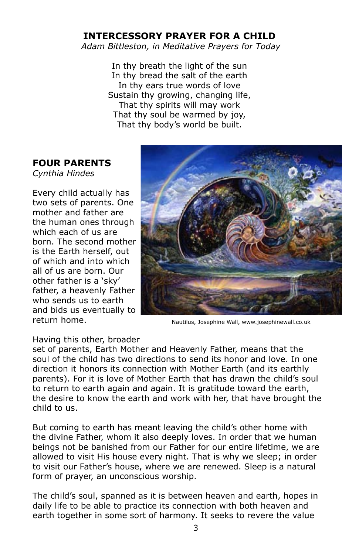## **Intercessory Prayer For a Child**

*Adam Bittleston, in Meditative Prayers for Today*

In thy breath the light of the sun In thy bread the salt of the earth In thy ears true words of love Sustain thy growing, changing life, That thy spirits will may work That thy soul be warmed by joy, That thy body's world be built.

## **Four Parents**

*Cynthia Hindes*

Every child actually has two sets of parents. One mother and father are the human ones through which each of us are born. The second mother is the Earth herself, out of which and into which all of us are born. Our other father is a 'sky' father, a heavenly Father who sends us to earth and bids us eventually to return home.



Nautilus, Josephine Wall, www.josephinewall.co.uk

### Having this other, broader

set of parents, Earth Mother and Heavenly Father, means that the soul of the child has two directions to send its honor and love. In one direction it honors its connection with Mother Earth (and its earthly parents). For it is love of Mother Earth that has drawn the child's soul to return to earth again and again. It is gratitude toward the earth, the desire to know the earth and work with her, that have brought the child to us.

But coming to earth has meant leaving the child's other home with the divine Father, whom it also deeply loves. In order that we human beings not be banished from our Father for our entire lifetime, we are allowed to visit His house every night. That is why we sleep; in order to visit our Father's house, where we are renewed. Sleep is a natural form of prayer, an unconscious worship.

The child's soul, spanned as it is between heaven and earth, hopes in daily life to be able to practice its connection with both heaven and earth together in some sort of harmony. It seeks to revere the value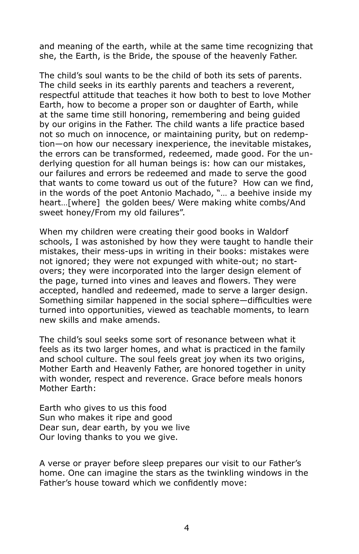and meaning of the earth, while at the same time recognizing that she, the Earth, is the Bride, the spouse of the heavenly Father.

The child's soul wants to be the child of both its sets of parents. The child seeks in its earthly parents and teachers a reverent, respectful attitude that teaches it how both to best to love Mother Earth, how to become a proper son or daughter of Earth, while at the same time still honoring, remembering and being guided by our origins in the Father. The child wants a life practice based not so much on innocence, or maintaining purity, but on redemption—on how our necessary inexperience, the inevitable mistakes, the errors can be transformed, redeemed, made good. For the underlying question for all human beings is: how can our mistakes, our failures and errors be redeemed and made to serve the good that wants to come toward us out of the future? How can we find, in the words of the poet Antonio Machado, "… a beehive inside my heart…[where] the golden bees/ Were making white combs/And sweet honey/From my old failures".

When my children were creating their good books in Waldorf schools, I was astonished by how they were taught to handle their mistakes, their mess-ups in writing in their books: mistakes were not ignored; they were not expunged with white-out; no startovers; they were incorporated into the larger design element of the page, turned into vines and leaves and flowers. They were accepted, handled and redeemed, made to serve a larger design. Something similar happened in the social sphere—difficulties were turned into opportunities, viewed as teachable moments, to learn new skills and make amends.

The child's soul seeks some sort of resonance between what it feels as its two larger homes, and what is practiced in the family and school culture. The soul feels great joy when its two origins, Mother Earth and Heavenly Father, are honored together in unity with wonder, respect and reverence. Grace before meals honors Mother Earth:

Earth who gives to us this food Sun who makes it ripe and good Dear sun, dear earth, by you we live Our loving thanks to you we give.

A verse or prayer before sleep prepares our visit to our Father's home. One can imagine the stars as the twinkling windows in the Father's house toward which we confidently move: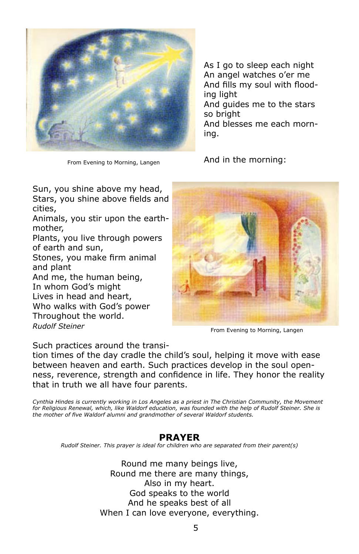

From Evening to Morning, Langen

As I go to sleep each night An angel watches o'er me And fills my soul with flooding light And guides me to the stars so bright And blesses me each morning.

And in the morning:

Sun, you shine above my head, Stars, you shine above fields and cities,

Animals, you stir upon the earthmother,

Plants, you live through powers of earth and sun,

Stones, you make firm animal and plant

And me, the human being, In whom God's might Lives in head and heart,

Who walks with God's power Throughout the world. *Rudolf Steiner*



From Evening to Morning, Langen

Such practices around the transi-

tion times of the day cradle the child's soul, helping it move with ease between heaven and earth. Such practices develop in the soul openness, reverence, strength and confidence in life. They honor the reality that in truth we all have four parents.

*Cynthia Hindes is currently working in Los Angeles as a priest in The Christian Community, the Movement*  for Religious Renewal, which, like Waldorf education, was founded with the help of Rudolf Steiner. She is *the mother of five Waldorf alumni and grandmother of several Waldorf students.* 

### **Prayer**

*Rudolf Steiner. This prayer is ideal for children who are separated from their parent(s)*

Round me many beings live, Round me there are many things, Also in my heart. God speaks to the world And he speaks best of all When I can love everyone, everything.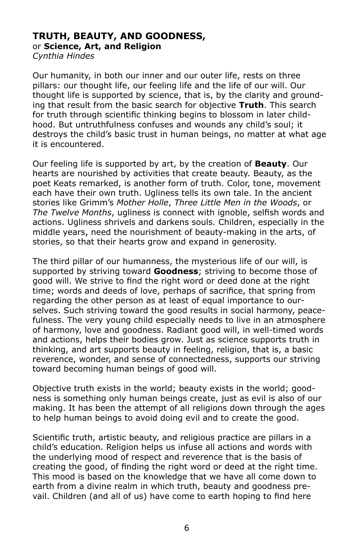# **Truth, Beauty, and Goodness,** or **Science, Art, and Religion**

*Cynthia Hindes*

Our humanity, in both our inner and our outer life, rests on three pillars: our thought life, our feeling life and the life of our will. Our thought life is supported by science, that is, by the clarity and grounding that result from the basic search for objective **Truth**. This search for truth through scientific thinking begins to blossom in later childhood. But untruthfulness confuses and wounds any child's soul; it destroys the child's basic trust in human beings, no matter at what age it is encountered.

Our feeling life is supported by art, by the creation of **Beauty**. Our hearts are nourished by activities that create beauty. Beauty, as the poet Keats remarked, is another form of truth. Color, tone, movement each have their own truth. Ugliness tells its own tale. In the ancient stories like Grimm's *Mother Holle*, *Three Little Men in the Woods*, or *The Twelve Months*, ugliness is connect with ignoble, selfish words and actions. Ugliness shrivels and darkens souls. Children, especially in the middle years, need the nourishment of beauty-making in the arts, of stories, so that their hearts grow and expand in generosity.

The third pillar of our humanness, the mysterious life of our will, is supported by striving toward **Goodness**; striving to become those of good will. We strive to find the right word or deed done at the right time; words and deeds of love, perhaps of sacrifice, that spring from regarding the other person as at least of equal importance to ourselves. Such striving toward the good results in social harmony, peacefulness. The very young child especially needs to live in an atmosphere of harmony, love and goodness. Radiant good will, in well-timed words and actions, helps their bodies grow. Just as science supports truth in thinking, and art supports beauty in feeling, religion, that is, a basic reverence, wonder, and sense of connectedness, supports our striving toward becoming human beings of good will.

Objective truth exists in the world; beauty exists in the world; goodness is something only human beings create, just as evil is also of our making. It has been the attempt of all religions down through the ages to help human beings to avoid doing evil and to create the good.

Scientific truth, artistic beauty, and religious practice are pillars in a child's education. Religion helps us infuse all actions and words with the underlying mood of respect and reverence that is the basis of creating the good, of finding the right word or deed at the right time. This mood is based on the knowledge that we have all come down to earth from a divine realm in which truth, beauty and goodness prevail. Children (and all of us) have come to earth hoping to find here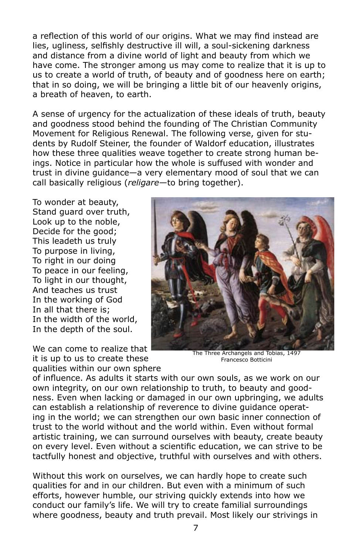a reflection of this world of our origins. What we may find instead are lies, ugliness, selfishly destructive ill will, a soul-sickening darkness and distance from a divine world of light and beauty from which we have come. The stronger among us may come to realize that it is up to us to create a world of truth, of beauty and of goodness here on earth; that in so doing, we will be bringing a little bit of our heavenly origins, a breath of heaven, to earth.

A sense of urgency for the actualization of these ideals of truth, beauty and goodness stood behind the founding of The Christian Community Movement for Religious Renewal. The following verse, given for students by Rudolf Steiner, the founder of Waldorf education, illustrates how these three qualities weave together to create strong human beings. Notice in particular how the whole is suffused with wonder and trust in divine guidance—a very elementary mood of soul that we can call basically religious (*religare*—to bring together).

To wonder at beauty, Stand guard over truth, Look up to the noble, Decide for the good; This leadeth us truly To purpose in living, To right in our doing To peace in our feeling, To light in our thought, And teaches us trust In the working of God In all that there is; In the width of the world, In the depth of the soul.

We can come to realize that it is up to us to create these qualities within our own sphere



The Three Archangels and Tobias, 1497 Francesco Botticini

of influence. As adults it starts with our own souls, as we work on our own integrity, on our own relationship to truth, to beauty and goodness. Even when lacking or damaged in our own upbringing, we adults can establish a relationship of reverence to divine guidance operating in the world; we can strengthen our own basic inner connection of trust to the world without and the world within. Even without formal artistic training, we can surround ourselves with beauty, create beauty on every level. Even without a scientific education, we can strive to be tactfully honest and objective, truthful with ourselves and with others.

Without this work on ourselves, we can hardly hope to create such qualities for and in our children. But even with a minimum of such efforts, however humble, our striving quickly extends into how we conduct our family's life. We will try to create familial surroundings where goodness, beauty and truth prevail. Most likely our strivings in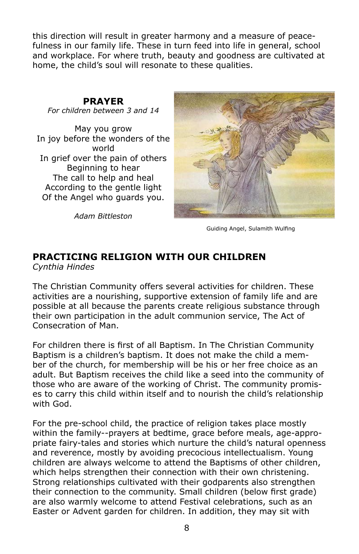this direction will result in greater harmony and a measure of peacefulness in our family life. These in turn feed into life in general, school and workplace. For where truth, beauty and goodness are cultivated at home, the child's soul will resonate to these qualities.

## **Prayer**

*For children between 3 and 14*

May you grow In joy before the wonders of the world In grief over the pain of others Beginning to hear The call to help and heal According to the gentle light Of the Angel who guards you.

*Adam Bittleston*



Guiding Angel, Sulamith Wulfing

# **Practicing Religion with our Children**

*Cynthia Hindes*

The Christian Community offers several activities for children. These activities are a nourishing, supportive extension of family life and are possible at all because the parents create religious substance through their own participation in the adult communion service, The Act of Consecration of Man.

For children there is first of all Baptism. In The Christian Community Baptism is a children's baptism. It does not make the child a member of the church, for membership will be his or her free choice as an adult. But Baptism receives the child like a seed into the community of those who are aware of the working of Christ. The community promises to carry this child within itself and to nourish the child's relationship with God.

For the pre-school child, the practice of religion takes place mostly within the family--prayers at bedtime, grace before meals, age-appropriate fairy-tales and stories which nurture the child's natural openness and reverence, mostly by avoiding precocious intellectualism. Young children are always welcome to attend the Baptisms of other children, which helps strengthen their connection with their own christening. Strong relationships cultivated with their godparents also strengthen their connection to the community. Small children (below first grade) are also warmly welcome to attend Festival celebrations, such as an Easter or Advent garden for children. In addition, they may sit with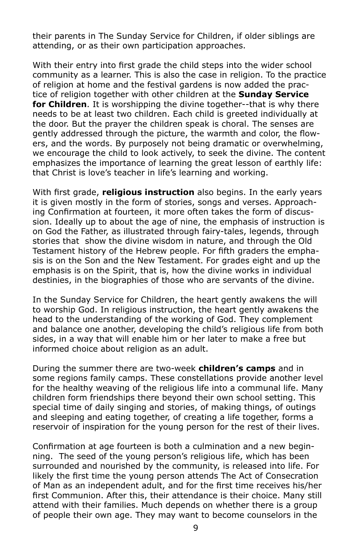their parents in The Sunday Service for Children, if older siblings are attending, or as their own participation approaches.

With their entry into first grade the child steps into the wider school community as a learner. This is also the case in religion. To the practice of religion at home and the festival gardens is now added the practice of religion together with other children at the **Sunday Service for Children**. It is worshipping the divine together--that is why there needs to be at least two children. Each child is greeted individually at the door. But the prayer the children speak is choral. The senses are gently addressed through the picture, the warmth and color, the flowers, and the words. By purposely not being dramatic or overwhelming, we encourage the child to look actively, to seek the divine. The content emphasizes the importance of learning the great lesson of earthly life: that Christ is love's teacher in life's learning and working.

With first grade, **religious instruction** also begins. In the early years it is given mostly in the form of stories, songs and verses. Approaching Confirmation at fourteen, it more often takes the form of discussion. Ideally up to about the age of nine, the emphasis of instruction is on God the Father, as illustrated through fairy-tales, legends, through stories that show the divine wisdom in nature, and through the Old Testament history of the Hebrew people. For fifth graders the emphasis is on the Son and the New Testament. For grades eight and up the emphasis is on the Spirit, that is, how the divine works in individual destinies, in the biographies of those who are servants of the divine.

In the Sunday Service for Children, the heart gently awakens the will to worship God. In religious instruction, the heart gently awakens the head to the understanding of the working of God. They complement and balance one another, developing the child's religious life from both sides, in a way that will enable him or her later to make a free but informed choice about religion as an adult.

During the summer there are two-week **children's camps** and in some regions family camps. These constellations provide another level for the healthy weaving of the religious life into a communal life. Many children form friendships there beyond their own school setting. This special time of daily singing and stories, of making things, of outings and sleeping and eating together, of creating a life together, forms a reservoir of inspiration for the young person for the rest of their lives.

Confirmation at age fourteen is both a culmination and a new beginning. The seed of the young person's religious life, which has been surrounded and nourished by the community, is released into life. For likely the first time the young person attends The Act of Consecration of Man as an independent adult, and for the first time receives his/her first Communion. After this, their attendance is their choice. Many still attend with their families. Much depends on whether there is a group of people their own age. They may want to become counselors in the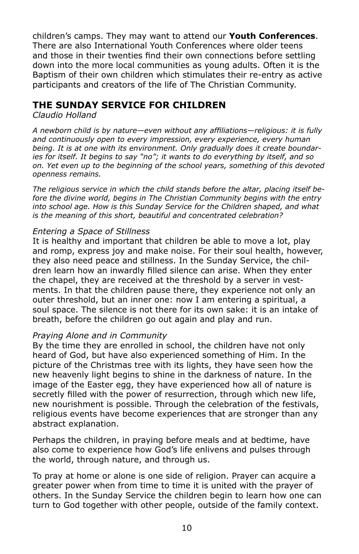children's camps. They may want to attend our **Youth Conferences**. There are also International Youth Conferences where older teens and those in their twenties find their own connections before settling down into the more local communities as young adults. Often it is the Baptism of their own children which stimulates their re-entry as active participants and creators of the life of The Christian Community.

## **The Sunday Service for Children**

*Claudio Holland*

*A newborn child is by nature—even without any affiliations—religious: it is fully and continuously open to every impression, every experience, every human being. It is at one with its environment. Only gradually does it create boundaries for itself. It begins to say "no"; it wants to do everything by itself, and so on. Yet even up to the beginning of the school years, something of this devoted openness remains.* 

*The religious service in which the child stands before the altar, placing itself be*fore the divine world, begins in The Christian Community begins with the entry *into school age. How is this Sunday Service for the Children shaped, and what is the meaning of this short, beautiful and concentrated celebration?*

## *Entering a Space of Stillness*

It is healthy and important that children be able to move a lot, play and romp, express joy and make noise. For their soul health, however, they also need peace and stillness. In the Sunday Service, the children learn how an inwardly filled silence can arise. When they enter the chapel, they are received at the threshold by a server in vestments. In that the children pause there, they experience not only an outer threshold, but an inner one: now I am entering a spiritual, a soul space. The silence is not there for its own sake: it is an intake of breath, before the children go out again and play and run.

### *Praying Alone and in Community*

By the time they are enrolled in school, the children have not only heard of God, but have also experienced something of Him. In the picture of the Christmas tree with its lights, they have seen how the new heavenly light begins to shine in the darkness of nature. In the image of the Easter egg, they have experienced how all of nature is secretly filled with the power of resurrection, through which new life, new nourishment is possible. Through the celebration of the festivals, religious events have become experiences that are stronger than any abstract explanation.

Perhaps the children, in praying before meals and at bedtime, have also come to experience how God's life enlivens and pulses through the world, through nature, and through us.

To pray at home or alone is one side of religion. Prayer can acquire a greater power when from time to time it is united with the prayer of others. In the Sunday Service the children begin to learn how one can turn to God together with other people, outside of the family context.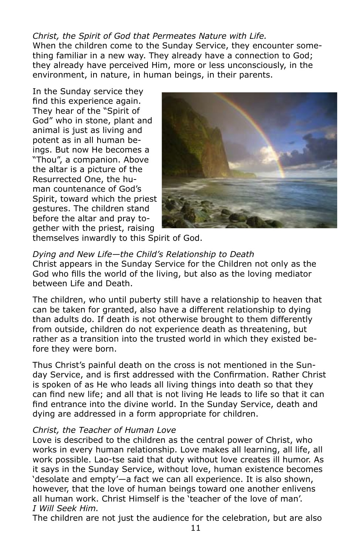## *Christ, the Spirit of God that Permeates Nature with Life.*

When the children come to the Sunday Service, they encounter something familiar in a new way. They already have a connection to God; they already have perceived Him, more or less unconsciously, in the environment, in nature, in human beings, in their parents.

In the Sunday service they find this experience again. They hear of the "Spirit of God" who in stone, plant and animal is just as living and potent as in all human beings. But now He becomes a "Thou", a companion. Above the altar is a picture of the Resurrected One, the human countenance of God's Spirit, toward which the priest gestures. The children stand before the altar and pray together with the priest, raising



themselves inwardly to this Spirit of God.

## *Dying and New Life—the Child's Relationship to Death*

Christ appears in the Sunday Service for the Children not only as the God who fills the world of the living, but also as the loving mediator between Life and Death.

The children, who until puberty still have a relationship to heaven that can be taken for granted, also have a different relationship to dying than adults do. If death is not otherwise brought to them differently from outside, children do not experience death as threatening, but rather as a transition into the trusted world in which they existed before they were born.

Thus Christ's painful death on the cross is not mentioned in the Sunday Service, and is first addressed with the Confirmation. Rather Christ is spoken of as He who leads all living things into death so that they can find new life; and all that is not living He leads to life so that it can find entrance into the divine world. In the Sunday Service, death and dying are addressed in a form appropriate for children.

### *Christ, the Teacher of Human Love*

Love is described to the children as the central power of Christ, who works in every human relationship. Love makes all learning, all life, all work possible. Lao-tse said that duty without love creates ill humor. As it says in the Sunday Service, without love, human existence becomes 'desolate and empty'—a fact we can all experience. It is also shown, however, that the love of human beings toward one another enlivens all human work. Christ Himself is the 'teacher of the love of man'. *I Will Seek Him.*

The children are not just the audience for the celebration, but are also